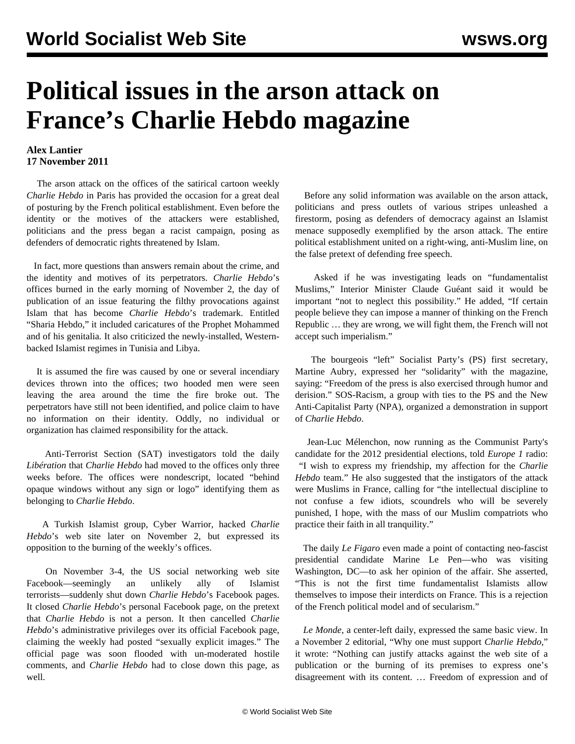## **Political issues in the arson attack on France's Charlie Hebdo magazine**

## **Alex Lantier 17 November 2011**

 The arson attack on the offices of the satirical cartoon weekly *Charlie Hebdo* in Paris has provided the occasion for a great deal of posturing by the French political establishment. Even before the identity or the motives of the attackers were established, politicians and the press began a racist campaign, posing as defenders of democratic rights threatened by Islam.

 In fact, more questions than answers remain about the crime, and the identity and motives of its perpetrators. *Charlie Hebdo*'s offices burned in the early morning of November 2, the day of publication of an issue featuring the filthy provocations against Islam that has become *Charlie Hebdo*'s trademark. Entitled "Sharia Hebdo," it included caricatures of the Prophet Mohammed and of his genitalia. It also criticized the newly-installed, Westernbacked Islamist regimes in Tunisia and Libya.

 It is assumed the fire was caused by one or several incendiary devices thrown into the offices; two hooded men were seen leaving the area around the time the fire broke out. The perpetrators have still not been identified, and police claim to have no information on their identity. Oddly, no individual or organization has claimed responsibility for the attack.

 Anti-Terrorist Section (SAT) investigators told the daily *Libération* that *Charlie Hebdo* had moved to the offices only three weeks before. The offices were nondescript, located "behind opaque windows without any sign or logo" identifying them as belonging to *Charlie Hebdo*.

 A Turkish Islamist group, Cyber Warrior, hacked *Charlie Hebdo*'s web site later on November 2, but expressed its opposition to the burning of the weekly's offices.

 On November 3-4, the US social networking web site Facebook—seemingly an unlikely ally of Islamist terrorists—suddenly shut down *Charlie Hebdo*'s Facebook pages. It closed *Charlie Hebdo*'s personal Facebook page, on the pretext that *Charlie Hebdo* is not a person. It then cancelled *Charlie Hebdo*'s administrative privileges over its official Facebook page, claiming the weekly had posted "sexually explicit images." The official page was soon flooded with un-moderated hostile comments, and *Charlie Hebdo* had to close down this page, as well.

 Before any solid information was available on the arson attack, politicians and press outlets of various stripes unleashed a firestorm, posing as defenders of democracy against an Islamist menace supposedly exemplified by the arson attack. The entire political establishment united on a right-wing, anti-Muslim line, on the false pretext of defending free speech.

 Asked if he was investigating leads on "fundamentalist Muslims," Interior Minister Claude Guéant said it would be important "not to neglect this possibility." He added, "If certain people believe they can impose a manner of thinking on the French Republic … they are wrong, we will fight them, the French will not accept such imperialism."

 The bourgeois "left" Socialist Party's (PS) first secretary, Martine Aubry, expressed her "solidarity" with the magazine, saying: "Freedom of the press is also exercised through humor and derision." SOS-Racism, a group with ties to the PS and the New Anti-Capitalist Party (NPA), organized a demonstration in support of *Charlie Hebdo*.

 Jean-Luc Mélenchon, now running as the Communist Party's candidate for the 2012 presidential elections, told *Europe 1* radio: "I wish to express my friendship, my affection for the *Charlie Hebdo* team." He also suggested that the instigators of the attack were Muslims in France, calling for "the intellectual discipline to not confuse a few idiots, scoundrels who will be severely punished, I hope, with the mass of our Muslim compatriots who practice their faith in all tranquility."

 The daily *Le Figaro* even made a point of contacting neo-fascist presidential candidate Marine Le Pen—who was visiting Washington, DC—to ask her opinion of the affair. She asserted, "This is not the first time fundamentalist Islamists allow themselves to impose their interdicts on France. This is a rejection of the French political model and of secularism."

 *Le Monde*, a center-left daily, expressed the same basic view. In a November 2 editorial, "Why one must support *Charlie Hebdo*," it wrote: "Nothing can justify attacks against the web site of a publication or the burning of its premises to express one's disagreement with its content. … Freedom of expression and of